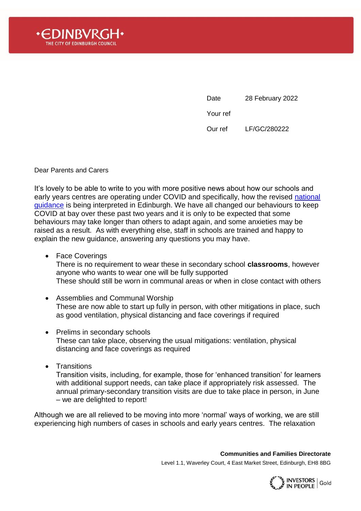

Date 28 February 2022

Your ref

Our ref LF/GC/280222

Dear Parents and Carers

It's lovely to be able to write to you with more positive news about how our schools and early years centres are operating under COVID and specifically, how the revised national [guidance](https://www.gov.scot/publications/coronavirus-covid-19-guidance-on-reducing-the-risks-in-schools/) is being interpreted in Edinburgh. We have all changed our behaviours to keep COVID at bay over these past two years and it is only to be expected that some behaviours may take longer than others to adapt again, and some anxieties may be raised as a result. As with everything else, staff in schools are trained and happy to explain the new guidance, answering any questions you may have.

- Face Coverings There is no requirement to wear these in secondary school **classrooms**, however anyone who wants to wear one will be fully supported These should still be worn in communal areas or when in close contact with others
- Assemblies and Communal Worship These are now able to start up fully in person, with other mitigations in place, such as good ventilation, physical distancing and face coverings if required
- Prelims in secondary schools These can take place, observing the usual mitigations: ventilation, physical distancing and face coverings as required
- Transitions

Transition visits, including, for example, those for 'enhanced transition' for learners with additional support needs, can take place if appropriately risk assessed. The annual primary-secondary transition visits are due to take place in person, in June – we are delighted to report!

Although we are all relieved to be moving into more 'normal' ways of working, we are still experiencing high numbers of cases in schools and early years centres. The relaxation

**Communities and Families Directorate**

Level 1.1, Waverley Court, 4 East Market Street, Edinburgh, EH8 8BG